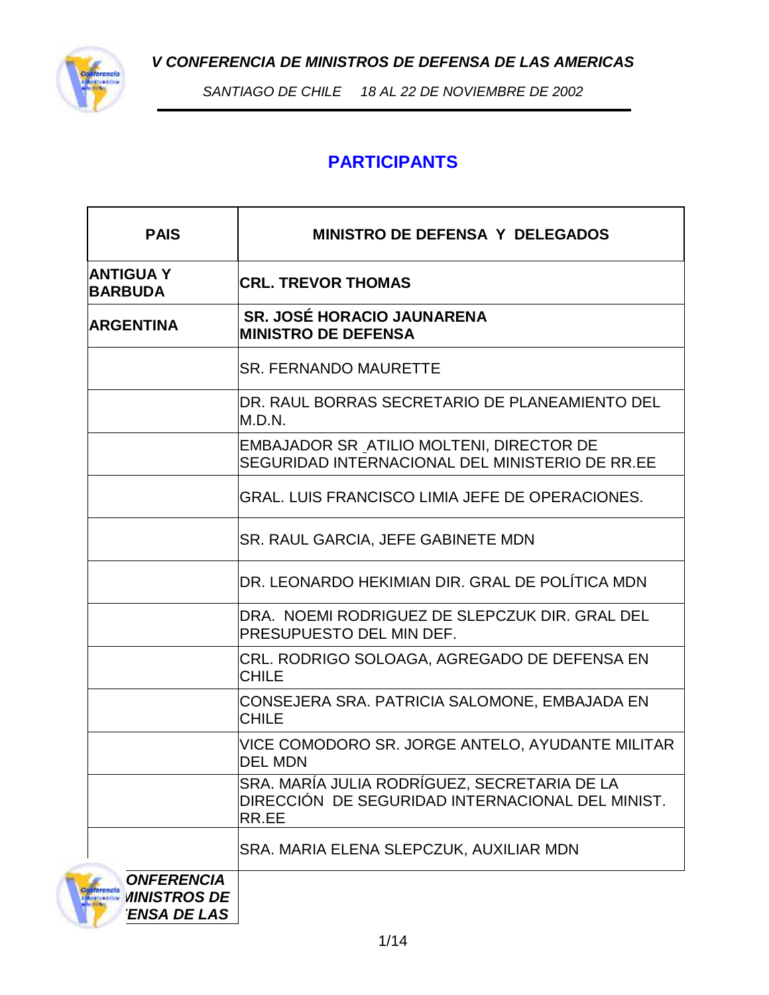*V CONFERENCIA DE MINISTROS DE DEFENSA DE LAS AMERICAS*



*SANTIAGO DE CHILE 18 AL 22 DE NOVIEMBRE DE 2002*

## **PARTICIPANTS**

| <b>PAIS</b>                                     | <b>MINISTRO DE DEFENSA Y DELEGADOS</b>                                                                    |  |  |  |  |
|-------------------------------------------------|-----------------------------------------------------------------------------------------------------------|--|--|--|--|
| <b>ANTIGUAY</b><br><b>BARBUDA</b>               | <b>CRL. TREVOR THOMAS</b>                                                                                 |  |  |  |  |
| <b>ARGENTINA</b>                                | <b>SR. JOSÉ HORACIO JAUNARENA</b><br><b>MINISTRO DE DEFENSA</b>                                           |  |  |  |  |
|                                                 | <b>SR. FERNANDO MAURETTE</b>                                                                              |  |  |  |  |
|                                                 | DR. RAUL BORRAS SECRETARIO DE PLANEAMIENTO DEL<br>M.D.N.                                                  |  |  |  |  |
|                                                 | EMBAJADOR SR_ATILIO MOLTENI, DIRECTOR DE<br>SEGURIDAD INTERNACIONAL DEL MINISTERIO DE RR.EE               |  |  |  |  |
|                                                 | <b>GRAL, LUIS FRANCISCO LIMIA JEFE DE OPERACIONES.</b>                                                    |  |  |  |  |
|                                                 | <b>SR. RAUL GARCIA, JEFE GABINETE MDN</b>                                                                 |  |  |  |  |
|                                                 | DR. LEONARDO HEKIMIAN DIR. GRAL DE POLÍTICA MDN                                                           |  |  |  |  |
|                                                 | DRA. NOEMI RODRIGUEZ DE SLEPCZUK DIR. GRAL DEL<br><b>PRESUPUESTO DEL MIN DEF.</b>                         |  |  |  |  |
|                                                 | CRL. RODRIGO SOLOAGA, AGREGADO DE DEFENSA EN<br>CHILE                                                     |  |  |  |  |
|                                                 | CONSEJERA SRA. PATRICIA SALOMONE, EMBAJADA EN<br>CHILE                                                    |  |  |  |  |
|                                                 | VICE COMODORO SR. JORGE ANTELO, AYUDANTE MILITAR<br><b>DEL MDN</b>                                        |  |  |  |  |
|                                                 | SRA. MARÍA JULIA RODRÍGUEZ, SECRETARIA DE LA<br>DIRECCIÓN DE SEGURIDAD INTERNACIONAL DEL MINIST.<br>RR.EE |  |  |  |  |
|                                                 | SRA. MARIA ELENA SLEPCZUK, AUXILIAR MDN                                                                   |  |  |  |  |
| <b>ONFERENCIA</b><br><b><i>MINISTROS DE</i></b> |                                                                                                           |  |  |  |  |

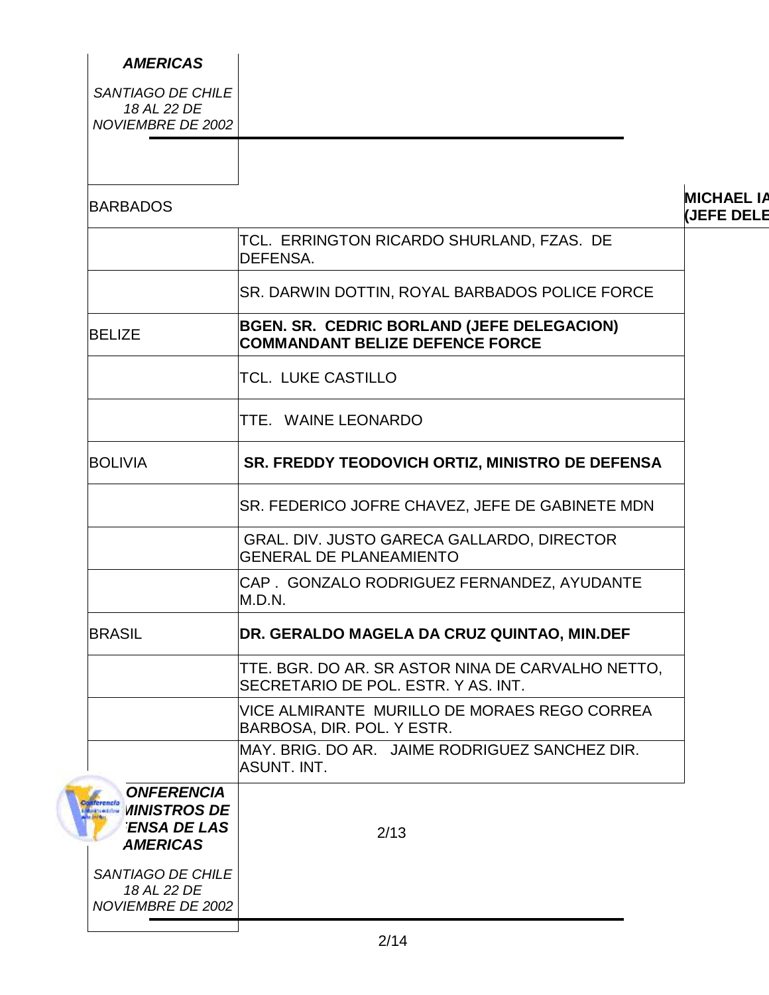| <b>AMERICAS</b>                                                                          |                                                                                          |
|------------------------------------------------------------------------------------------|------------------------------------------------------------------------------------------|
| SANTIAGO DE CHILE<br>18 AL 22 DE<br>NOVIEMBRE DE 2002                                    |                                                                                          |
|                                                                                          |                                                                                          |
| <b>BARBADOS</b>                                                                          |                                                                                          |
|                                                                                          | TCL. ERRINGTON RICARDO SHURLAND, FZAS. DE<br><b>DEFENSA.</b>                             |
|                                                                                          | SR. DARWIN DOTTIN, ROYAL BARBADOS POLICE FORCE                                           |
| <b>BELIZE</b>                                                                            | BGEN. SR. CEDRIC BORLAND (JEFE DELEGACION)<br><b>COMMANDANT BELIZE DEFENCE FORCE</b>     |
|                                                                                          | <b>TCL. LUKE CASTILLO</b>                                                                |
|                                                                                          | TTE. WAINE LEONARDO                                                                      |
| <b>BOLIVIA</b>                                                                           | SR. FREDDY TEODOVICH ORTIZ, MINISTRO DE DEFENSA                                          |
|                                                                                          | SR. FEDERICO JOFRE CHAVEZ, JEFE DE GABINETE MDN                                          |
|                                                                                          | GRAL. DIV. JUSTO GARECA GALLARDO, DIRECTOR<br><b>GENERAL DE PLANEAMIENTO</b>             |
|                                                                                          | CAP. GONZALO RODRIGUEZ FERNANDEZ, AYUDANTE<br>M.D.N.                                     |
| <b>BRASIL</b>                                                                            | DR. GERALDO MAGELA DA CRUZ QUINTAO, MIN.DEF                                              |
|                                                                                          | TTE. BGR. DO AR. SR ASTOR NINA DE CARVALHO NETTO,<br>SECRETARIO DE POL. ESTR. Y AS. INT. |
|                                                                                          | VICE ALMIRANTE MURILLO DE MORAES REGO CORREA<br>BARBOSA, DIR. POL. Y ESTR.               |
|                                                                                          | MAY. BRIG. DO AR. JAIME RODRIGUEZ SANCHEZ DIR.<br>ASUNT. INT.                            |
| <b>ONFERENCIA</b><br><b><i>MINISTROS DE</i></b><br><b>ENSA DE LAS</b><br><b>AMERICAS</b> | 2/13                                                                                     |
| SANTIAGO DE CHILE<br>18 AL 22 DE<br>NOVIEMBRE DE 2002                                    |                                                                                          |
|                                                                                          |                                                                                          |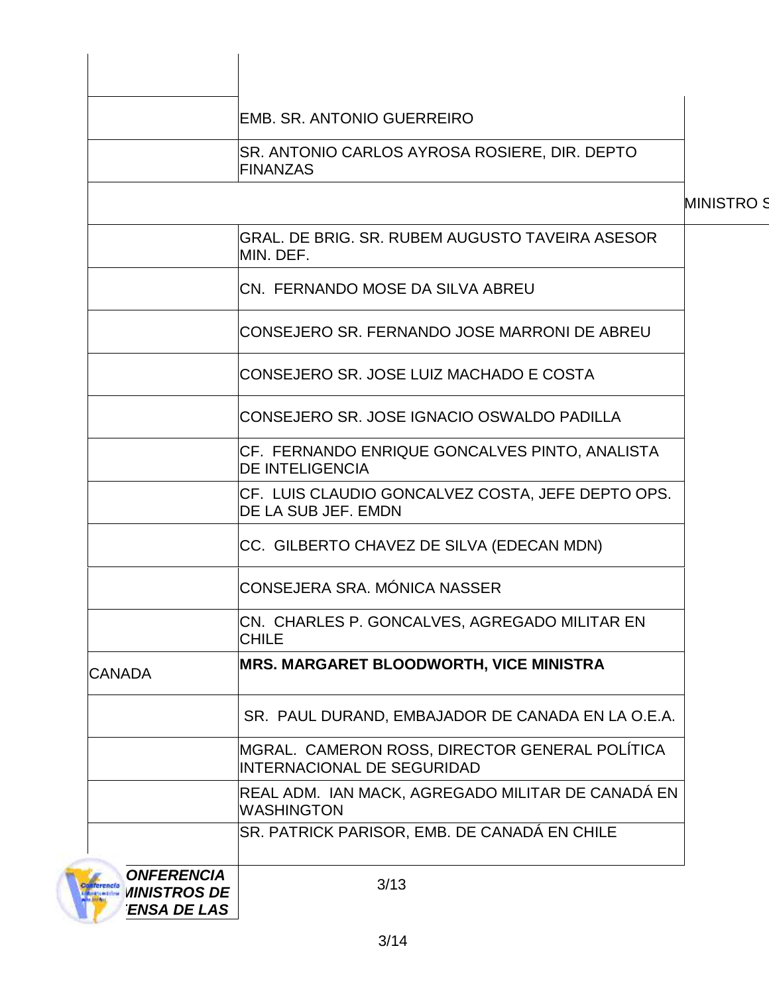|                                                                                                                    | <b>EMB. SR. ANTONIO GUERREIRO</b>                                            |
|--------------------------------------------------------------------------------------------------------------------|------------------------------------------------------------------------------|
|                                                                                                                    | SR. ANTONIO CARLOS AYROSA ROSIERE, DIR. DEPTO<br><b>FINANZAS</b>             |
|                                                                                                                    |                                                                              |
|                                                                                                                    | GRAL. DE BRIG. SR. RUBEM AUGUSTO TAVEIRA ASESOR<br>MIN. DEF.                 |
|                                                                                                                    | CN. FERNANDO MOSE DA SILVA ABREU                                             |
|                                                                                                                    | CONSEJERO SR. FERNANDO JOSE MARRONI DE ABREU                                 |
|                                                                                                                    | ICONSEJERO SR. JOSE LUIZ MACHADO E COSTA                                     |
|                                                                                                                    | CONSEJERO SR. JOSE IGNACIO OSWALDO PADILLA                                   |
|                                                                                                                    | CF. FERNANDO ENRIQUE GONCALVES PINTO, ANALISTA<br><b>DE INTELIGENCIA</b>     |
|                                                                                                                    | CF. LUIS CLAUDIO GONCALVEZ COSTA, JEFE DEPTO OPS.<br>DE LA SUB JEF. EMDN     |
|                                                                                                                    | CC. GILBERTO CHAVEZ DE SILVA (EDECAN MDN)                                    |
|                                                                                                                    | ICONSEJERA SRA. MÓNICA NASSER                                                |
|                                                                                                                    | CN. CHARLES P. GONCALVES, AGREGADO MILITAR EN<br><b>CHILE</b>                |
| <b>CANADA</b>                                                                                                      | <b>MRS. MARGARET BLOODWORTH, VICE MINISTRA</b>                               |
|                                                                                                                    | SR. PAUL DURAND, EMBAJADOR DE CANADA EN LA O.E.A.                            |
|                                                                                                                    | MGRAL. CAMERON ROSS, DIRECTOR GENERAL POLÍTICA<br>INTERNACIONAL DE SEGURIDAD |
|                                                                                                                    | REAL ADM. IAN MACK, AGREGADO MILITAR DE CANADÁ EN<br><b>WASHINGTON</b>       |
|                                                                                                                    | SR. PATRICK PARISOR, EMB. DE CANADÁ EN CHILE                                 |
| <b>ONFERENCIA</b><br>Conferencia<br><b><i>MINISTROS DE</i></b><br><b>Maid to A Different</b><br><b>ENSA DE LAS</b> | 3/13                                                                         |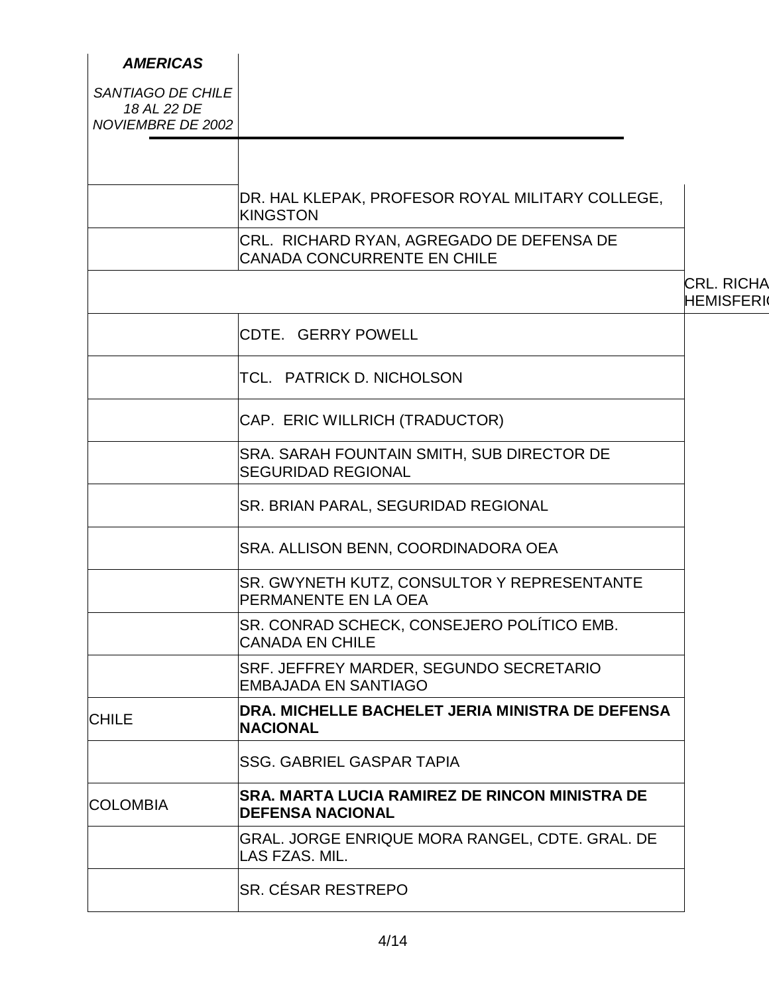| <b>AMERICAS</b>                                       |                                                                            |                                       |
|-------------------------------------------------------|----------------------------------------------------------------------------|---------------------------------------|
| SANTIAGO DE CHILE<br>18 AL 22 DE<br>NOVIEMBRE DE 2002 |                                                                            |                                       |
|                                                       |                                                                            |                                       |
|                                                       | DR. HAL KLEPAK, PROFESOR ROYAL MILITARY COLLEGE,<br><b>KINGSTON</b>        |                                       |
|                                                       | CRL. RICHARD RYAN, AGREGADO DE DEFENSA DE<br>CANADA CONCURRENTE EN CHILE   |                                       |
|                                                       |                                                                            | <b>CRL. RICHA</b><br><b>HEMISFERI</b> |
|                                                       | CDTE. GERRY POWELL                                                         |                                       |
|                                                       | TCL. PATRICK D. NICHOLSON                                                  |                                       |
|                                                       | CAP. ERIC WILLRICH (TRADUCTOR)                                             |                                       |
|                                                       | SRA. SARAH FOUNTAIN SMITH, SUB DIRECTOR DE<br><b>SEGURIDAD REGIONAL</b>    |                                       |
|                                                       | SR. BRIAN PARAL, SEGURIDAD REGIONAL                                        |                                       |
|                                                       | SRA. ALLISON BENN, COORDINADORA OEA                                        |                                       |
|                                                       | SR. GWYNETH KUTZ, CONSULTOR Y REPRESENTANTE<br><b>PERMANENTE EN LA OEA</b> |                                       |
|                                                       | SR. CONRAD SCHECK, CONSEJERO POLÍTICO EMB.<br><b>CANADA EN CHILE</b>       |                                       |
|                                                       | SRF. JEFFREY MARDER, SEGUNDO SECRETARIO<br><b>EMBAJADA EN SANTIAGO</b>     |                                       |
| <b>CHILE</b>                                          | DRA. MICHELLE BACHELET JERIA MINISTRA DE DEFENSA<br><b>NACIONAL</b>        |                                       |
|                                                       | <b>SSG. GABRIEL GASPAR TAPIA</b>                                           |                                       |
| <b>COLOMBIA</b>                                       | SRA. MARTA LUCIA RAMIREZ DE RINCON MINISTRA DE<br><b>DEFENSA NACIONAL</b>  |                                       |
|                                                       | GRAL. JORGE ENRIQUE MORA RANGEL, CDTE. GRAL. DE<br>LAS FZAS. MIL.          |                                       |
|                                                       | SR. CÉSAR RESTREPO                                                         |                                       |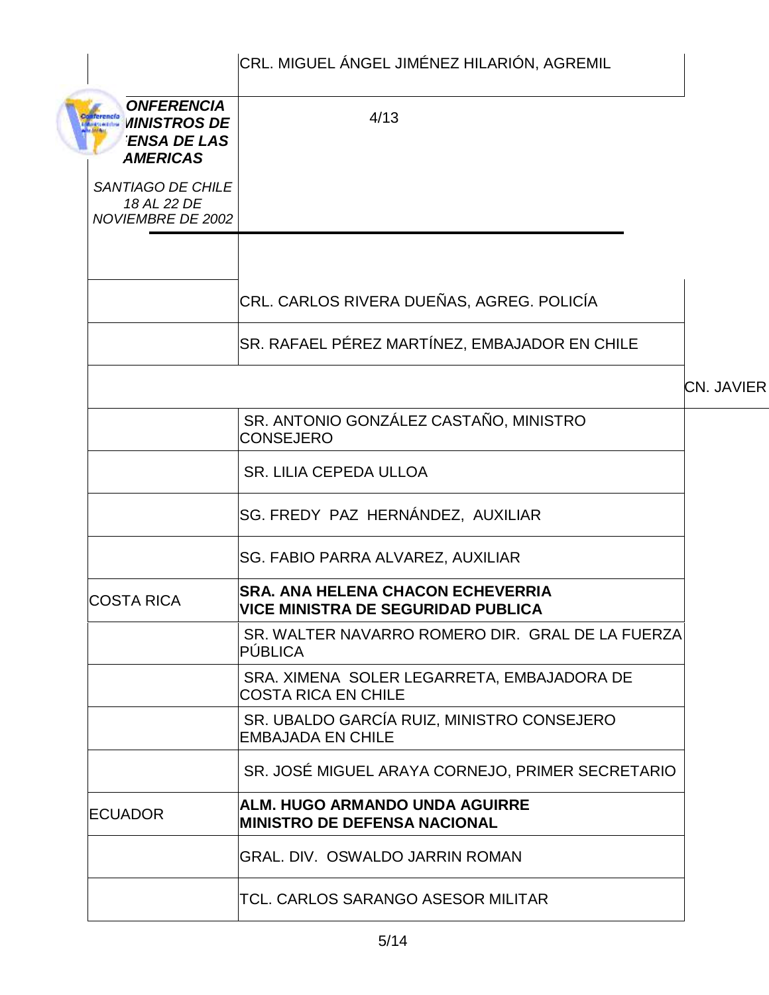|                                                                                          | CRL. MIGUEL ÁNGEL JIMÉNEZ HILARIÓN, AGREMIL                                            |            |
|------------------------------------------------------------------------------------------|----------------------------------------------------------------------------------------|------------|
| <b>ONFERENCIA</b><br><b><i>MINISTROS DE</i></b><br><b>ENSA DE LAS</b><br><b>AMERICAS</b> | 4/13                                                                                   |            |
| SANTIAGO DE CHILE<br>18 AL 22 DE<br>NOVIEMBRE DE 2002                                    |                                                                                        |            |
|                                                                                          |                                                                                        |            |
|                                                                                          | CRL. CARLOS RIVERA DUEÑAS, AGREG. POLICÍA                                              |            |
|                                                                                          | SR. RAFAEL PÉREZ MARTÍNEZ, EMBAJADOR EN CHILE                                          |            |
|                                                                                          |                                                                                        | CN. JAVIER |
|                                                                                          | SR. ANTONIO GONZÁLEZ CASTAÑO, MINISTRO<br><b>CONSEJERO</b>                             |            |
|                                                                                          | SR. LILIA CEPEDA ULLOA                                                                 |            |
|                                                                                          | SG. FREDY PAZ HERNÁNDEZ, AUXILIAR                                                      |            |
|                                                                                          | <b>SG. FABIO PARRA ALVAREZ, AUXILIAR</b>                                               |            |
| <b>COSTA RICA</b>                                                                        | <b>SRA. ANA HELENA CHACON ECHEVERRIA</b><br><b> VICE MINISTRA DE SEGURIDAD PUBLICA</b> |            |
|                                                                                          | SR. WALTER NAVARRO ROMERO DIR. GRAL DE LA FUERZA<br>PÚBLICA                            |            |
|                                                                                          | SRA. XIMENA SOLER LEGARRETA, EMBAJADORA DE<br><b>COSTA RICA EN CHILE</b>               |            |
|                                                                                          | SR. UBALDO GARCÍA RUIZ, MINISTRO CONSEJERO<br><b>EMBAJADA EN CHILE</b>                 |            |
|                                                                                          | SR. JOSÉ MIGUEL ARAYA CORNEJO, PRIMER SECRETARIO                                       |            |
| <b>ECUADOR</b>                                                                           | <b>ALM. HUGO ARMANDO UNDA AGUIRRE</b><br><b>MINISTRO DE DEFENSA NACIONAL</b>           |            |
|                                                                                          | <b>GRAL. DIV. OSWALDO JARRIN ROMAN</b>                                                 |            |
|                                                                                          | <b>TCL. CARLOS SARANGO ASESOR MILITAR</b>                                              |            |
|                                                                                          |                                                                                        |            |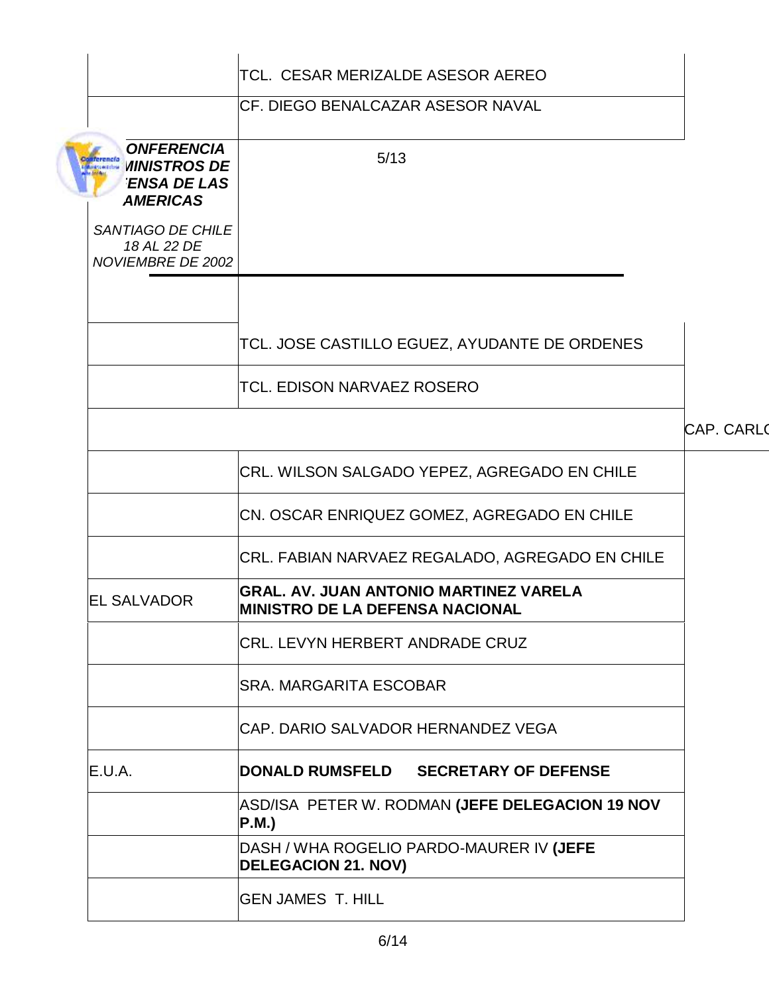|                                                                                          | TCL. CESAR MERIZALDE ASESOR AEREO                                                |                   |
|------------------------------------------------------------------------------------------|----------------------------------------------------------------------------------|-------------------|
|                                                                                          | <b>CF. DIEGO BENALCAZAR ASESOR NAVAL</b>                                         |                   |
| <b>ONFERENCIA</b><br><b><i>MINISTROS DE</i></b><br><b>ENSA DE LAS</b><br><b>AMERICAS</b> | 5/13                                                                             |                   |
| SANTIAGO DE CHILE<br>18 AL 22 DE<br>NOVIEMBRE DE 2002                                    |                                                                                  |                   |
|                                                                                          | TCL. JOSE CASTILLO EGUEZ, AYUDANTE DE ORDENES                                    |                   |
|                                                                                          | TCL. EDISON NARVAEZ ROSERO                                                       |                   |
|                                                                                          |                                                                                  | <b>CAP. CARLO</b> |
|                                                                                          | CRL. WILSON SALGADO YEPEZ, AGREGADO EN CHILE                                     |                   |
|                                                                                          | CN. OSCAR ENRIQUEZ GOMEZ, AGREGADO EN CHILE                                      |                   |
|                                                                                          | CRL. FABIAN NARVAEZ REGALADO, AGREGADO EN CHILE                                  |                   |
| <b>EL SALVADOR</b>                                                                       | GRAL. AV. JUAN ANTONIO MARTINEZ VARELA<br><b>MINISTRO DE LA DEFENSA NACIONAL</b> |                   |
|                                                                                          | <b>CRL. LEVYN HERBERT ANDRADE CRUZ</b>                                           |                   |
|                                                                                          | <b>SRA. MARGARITA ESCOBAR</b>                                                    |                   |
|                                                                                          | CAP. DARIO SALVADOR HERNANDEZ VEGA                                               |                   |
| E.U.A.                                                                                   | DONALD RUMSFELD SECRETARY OF DEFENSE                                             |                   |
|                                                                                          | ASD/ISA PETER W. RODMAN (JEFE DELEGACION 19 NOV<br>P.M.)                         |                   |
|                                                                                          | DASH / WHA ROGELIO PARDO-MAURER IV (JEFE<br><b>DELEGACION 21. NOV)</b>           |                   |
|                                                                                          | <b>GEN JAMES T. HILL</b>                                                         |                   |
|                                                                                          |                                                                                  |                   |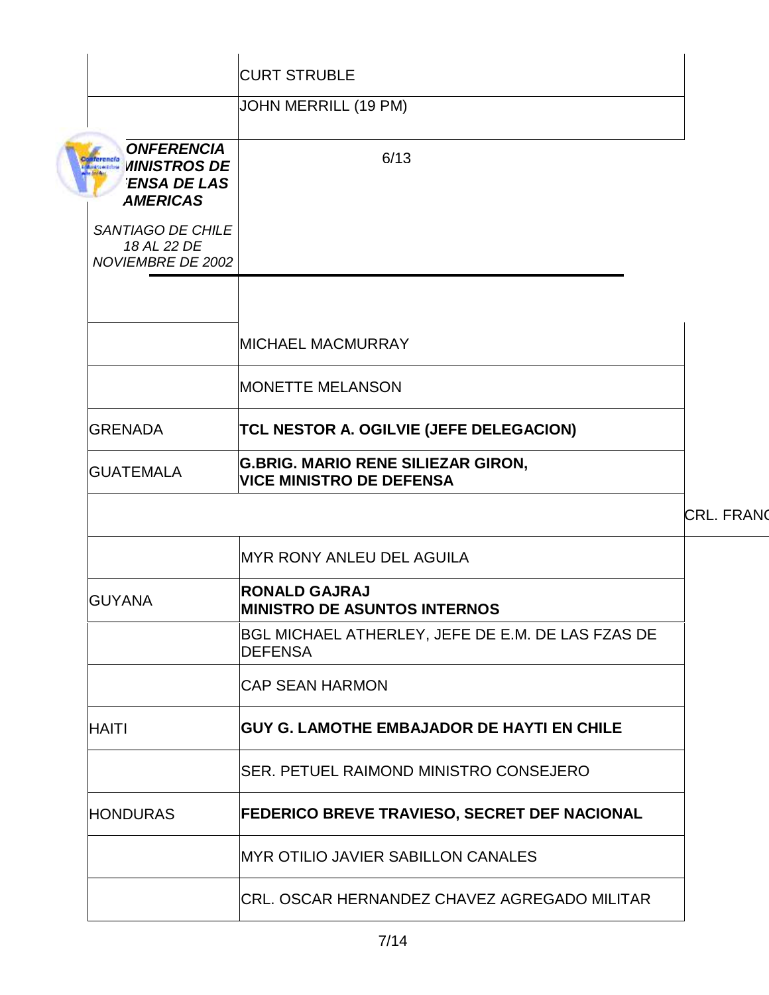|                                                                                                                                     | <b>CURT STRUBLE</b>                                                          |                   |
|-------------------------------------------------------------------------------------------------------------------------------------|------------------------------------------------------------------------------|-------------------|
|                                                                                                                                     | JOHN MERRILL (19 PM)                                                         |                   |
| <b>ONFERENCIA</b><br><b>Conferencial VIINISTROS DE</b><br><b>ENSA DE LAS</b><br><b>AMERICAS</b><br>SANTIAGO DE CHILE<br>18 AL 22 DE | 6/13                                                                         |                   |
| NOVIEMBRE DE 2002                                                                                                                   |                                                                              |                   |
|                                                                                                                                     |                                                                              |                   |
|                                                                                                                                     | <b>MICHAEL MACMURRAY</b>                                                     |                   |
|                                                                                                                                     | <b>MONETTE MELANSON</b>                                                      |                   |
| <b>GRENADA</b>                                                                                                                      | <b>TCL NESTOR A. OGILVIE (JEFE DELEGACION)</b>                               |                   |
| <b>GUATEMALA</b>                                                                                                                    | <b>G.BRIG. MARIO RENE SILIEZAR GIRON,</b><br><b>VICE MINISTRO DE DEFENSA</b> |                   |
|                                                                                                                                     |                                                                              | <b>CRL. FRANQ</b> |
|                                                                                                                                     | <b>MYR RONY ANLEU DEL AGUILA</b>                                             |                   |
| <b>GUYANA</b>                                                                                                                       | <b>RONALD GAJRAJ</b><br><b>MINISTRO DE ASUNTOS INTERNOS</b>                  |                   |
|                                                                                                                                     | BGL MICHAEL ATHERLEY, JEFE DE E.M. DE LAS FZAS DE<br><b>DEFENSA</b>          |                   |
|                                                                                                                                     | <b>CAP SEAN HARMON</b>                                                       |                   |
| <b>HAITI</b>                                                                                                                        | <b>GUY G. LAMOTHE EMBAJADOR DE HAYTI EN CHILE</b>                            |                   |
|                                                                                                                                     | SER. PETUEL RAIMOND MINISTRO CONSEJERO                                       |                   |
| <b>HONDURAS</b>                                                                                                                     | <b>FEDERICO BREVE TRAVIESO, SECRET DEF NACIONAL</b>                          |                   |
|                                                                                                                                     | <b>MYR OTILIO JAVIER SABILLON CANALES</b>                                    |                   |
|                                                                                                                                     | CRL. OSCAR HERNANDEZ CHAVEZ AGREGADO MILITAR                                 |                   |
|                                                                                                                                     |                                                                              |                   |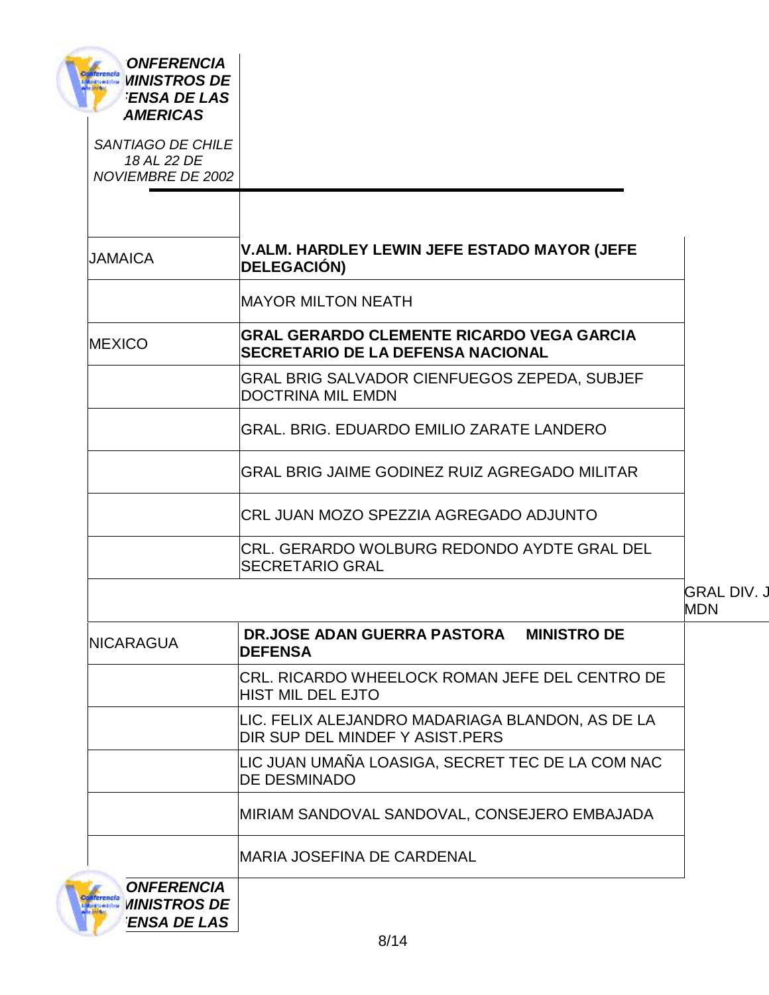| <b>ONFERENCIA</b><br><b>Contentions WINISTROS</b> DE<br><b>ENSA DE LAS</b><br><b>AMERICAS</b> |                                                                                              |                                  |
|-----------------------------------------------------------------------------------------------|----------------------------------------------------------------------------------------------|----------------------------------|
| SANTIAGO DE CHILE<br>18 AL 22 DE<br>NOVIEMBRE DE 2002                                         |                                                                                              |                                  |
|                                                                                               | V.ALM. HARDLEY LEWIN JEFE ESTADO MAYOR (JEFE                                                 |                                  |
| <b>JAMAICA</b>                                                                                | <b>DELEGACIÓN)</b>                                                                           |                                  |
|                                                                                               | <b>MAYOR MILTON NEATH</b>                                                                    |                                  |
| <b>MEXICO</b>                                                                                 | <b>GRAL GERARDO CLEMENTE RICARDO VEGA GARCIA</b><br><b>SECRETARIO DE LA DEFENSA NACIONAL</b> |                                  |
|                                                                                               | GRAL BRIG SALVADOR CIENFUEGOS ZEPEDA, SUBJEF<br><b>DOCTRINA MIL EMDN</b>                     |                                  |
|                                                                                               | GRAL. BRIG. EDUARDO EMILIO ZARATE LANDERO                                                    |                                  |
|                                                                                               | GRAL BRIG JAIME GODINEZ RUIZ AGREGADO MILITAR                                                |                                  |
|                                                                                               | CRL JUAN MOZO SPEZZIA AGREGADO ADJUNTO                                                       |                                  |
|                                                                                               | CRL. GERARDO WOLBURG REDONDO AYDTE GRAL DEL<br><b>SECRETARIO GRAL</b>                        |                                  |
|                                                                                               |                                                                                              | <b>GRAL DIV. J</b><br><b>MDN</b> |
| NICARAGUA                                                                                     | DR.JOSE ADAN GUERRA PASTORA MINISTRO DE<br><b>DEFENSA</b>                                    |                                  |
|                                                                                               | CRL. RICARDO WHEELOCK ROMAN JEFE DEL CENTRO DE<br><b>HIST MIL DEL EJTO</b>                   |                                  |
|                                                                                               | LIC. FELIX ALEJANDRO MADARIAGA BLANDON, AS DE LA<br>DIR SUP DEL MINDEF Y ASIST.PERS          |                                  |
|                                                                                               | LIC JUAN UMAÑA LOASIGA, SECRET TEC DE LA COM NAC<br><b>DE DESMINADO</b>                      |                                  |
|                                                                                               | MIRIAM SANDOVAL SANDOVAL, CONSEJERO EMBAJADA                                                 |                                  |
|                                                                                               | <b>MARIA JOSEFINA DE CARDENAL</b>                                                            |                                  |
| <b>ONFERENCIA</b><br><b><i>MINISTROS DE</i></b>                                               |                                                                                              |                                  |

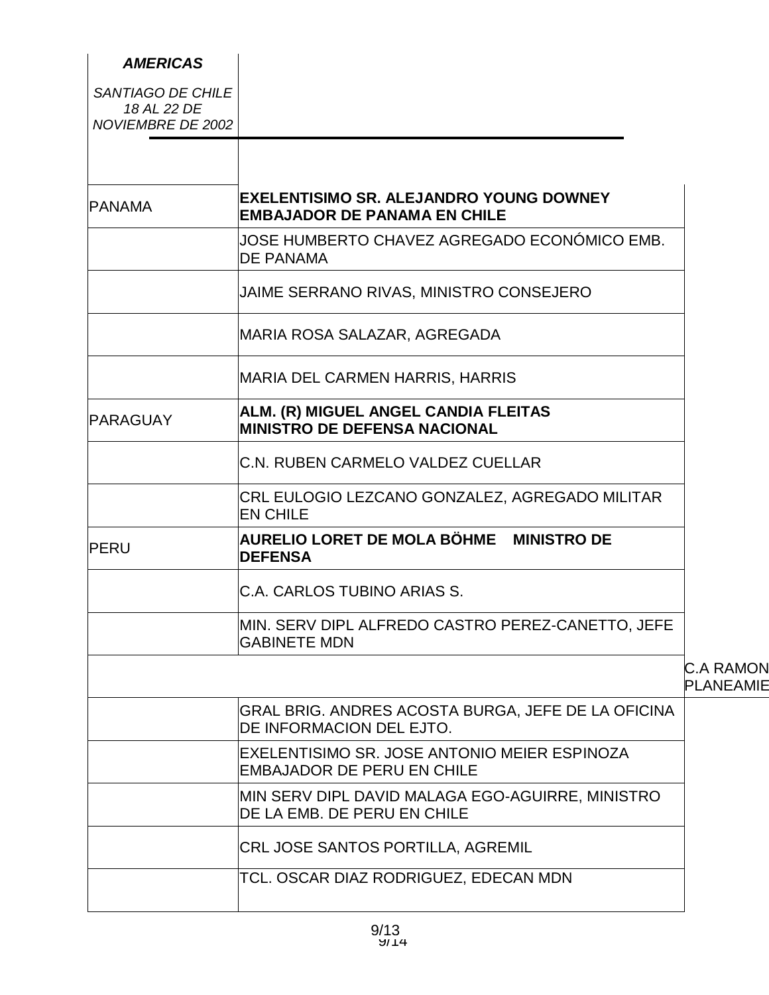| <b>AMERICAS</b>                                       |                                                                                       |
|-------------------------------------------------------|---------------------------------------------------------------------------------------|
| SANTIAGO DE CHILE<br>18 AL 22 DE<br>NOVIEMBRE DE 2002 |                                                                                       |
|                                                       |                                                                                       |
| <b>PANAMA</b>                                         | <b>EXELENTISIMO SR. ALEJANDRO YOUNG DOWNEY</b><br><b>EMBAJADOR DE PANAMA EN CHILE</b> |
|                                                       | JOSE HUMBERTO CHAVEZ AGREGADO ECONÓMICO EMB.<br><b>DE PANAMA</b>                      |
|                                                       | JAIME SERRANO RIVAS, MINISTRO CONSEJERO                                               |
|                                                       | MARIA ROSA SALAZAR, AGREGADA                                                          |
|                                                       | <b>MARIA DEL CARMEN HARRIS, HARRIS</b>                                                |
| <b>PARAGUAY</b>                                       | ALM. (R) MIGUEL ANGEL CANDIA FLEITAS<br><b>MINISTRO DE DEFENSA NACIONAL</b>           |
|                                                       | C.N. RUBEN CARMELO VALDEZ CUELLAR                                                     |
|                                                       | CRL EULOGIO LEZCANO GONZALEZ, AGREGADO MILITAR<br><b>EN CHILE</b>                     |
| PERU                                                  | AURELIO LORET DE MOLA BÖHME MINISTRO DE<br><b>DEFENSA</b>                             |
|                                                       | C.A. CARLOS TUBINO ARIAS S.                                                           |
|                                                       | MIN. SERV DIPL ALFREDO CASTRO PEREZ-CANETTO, JEFE<br><b>GABINETE MDN</b>              |
|                                                       |                                                                                       |
|                                                       | GRAL BRIG. ANDRES ACOSTA BURGA, JEFE DE LA OFICINA<br>DE INFORMACION DEL EJTO.        |
|                                                       | EXELENTISIMO SR. JOSE ANTONIO MEIER ESPINOZA<br><b>EMBAJADOR DE PERU EN CHILE</b>     |
|                                                       | MIN SERV DIPL DAVID MALAGA EGO-AGUIRRE, MINISTRO<br>DE LA EMB. DE PERU EN CHILE       |
|                                                       | CRL JOSE SANTOS PORTILLA, AGREMIL                                                     |
|                                                       | TCL. OSCAR DIAZ RODRIGUEZ, EDECAN MDN                                                 |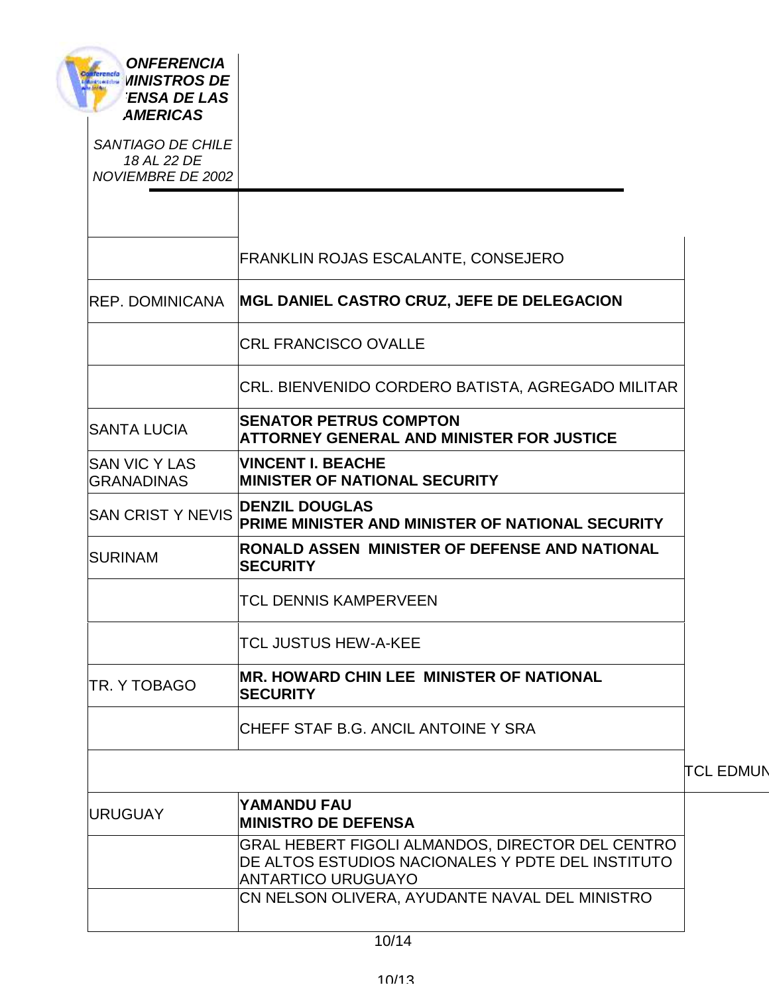| <b>ONFERENCIA</b><br>terencía<br><b><i>UINISTROS DE</i></b><br><b>MASI ALDERNA</b><br><b>ENSA DE LAS</b><br><b>AMERICAS</b> |                                                                                                                                    |
|-----------------------------------------------------------------------------------------------------------------------------|------------------------------------------------------------------------------------------------------------------------------------|
| SANTIAGO DE CHILE<br>18 AL 22 DE<br>NOVIEMBRE DE 2002                                                                       |                                                                                                                                    |
|                                                                                                                             | <b>FRANKLIN ROJAS ESCALANTE, CONSEJERO</b>                                                                                         |
| <b>REP. DOMINICANA</b>                                                                                                      | MGL DANIEL CASTRO CRUZ, JEFE DE DELEGACION                                                                                         |
|                                                                                                                             | <b>CRL FRANCISCO OVALLE</b>                                                                                                        |
|                                                                                                                             | CRL. BIENVENIDO CORDERO BATISTA, AGREGADO MILITAR                                                                                  |
| <b>SANTA LUCIA</b>                                                                                                          | <b>SENATOR PETRUS COMPTON</b><br><b>ATTORNEY GENERAL AND MINISTER FOR JUSTICE</b>                                                  |
| <b>SAN VIC Y LAS</b><br><b>GRANADINAS</b>                                                                                   | <b>VINCENT I. BEACHE</b><br><b>MINISTER OF NATIONAL SECURITY</b>                                                                   |
| <b>SAN CRIST Y NEVIS</b>                                                                                                    | <b>DENZIL DOUGLAS</b><br>PRIME MINISTER AND MINISTER OF NATIONAL SECURITY                                                          |
| <b>SURINAM</b>                                                                                                              | RONALD ASSEN MINISTER OF DEFENSE AND NATIONAL<br><b>SECURITY</b>                                                                   |
|                                                                                                                             | <b>TCL DENNIS KAMPERVEEN</b>                                                                                                       |
|                                                                                                                             | <b>TCL JUSTUS HEW-A-KEE</b>                                                                                                        |
| ITR. Y TOBAGO                                                                                                               | <b>MR. HOWARD CHIN LEE MINISTER OF NATIONAL</b><br><b>ISECURITY</b>                                                                |
|                                                                                                                             | ICHEFF STAF B.G. ANCIL ANTOINE Y SRA                                                                                               |
|                                                                                                                             |                                                                                                                                    |
| <b>URUGUAY</b>                                                                                                              | YAMANDU FAU<br><b>MINISTRO DE DEFENSA</b>                                                                                          |
|                                                                                                                             | GRAL HEBERT FIGOLI ALMANDOS, DIRECTOR DEL CENTRO<br>DE ALTOS ESTUDIOS NACIONALES Y PDTE DEL INSTITUTO<br><b>ANTARTICO URUGUAYO</b> |
|                                                                                                                             | CN NELSON OLIVERA, AYUDANTE NAVAL DEL MINISTRO                                                                                     |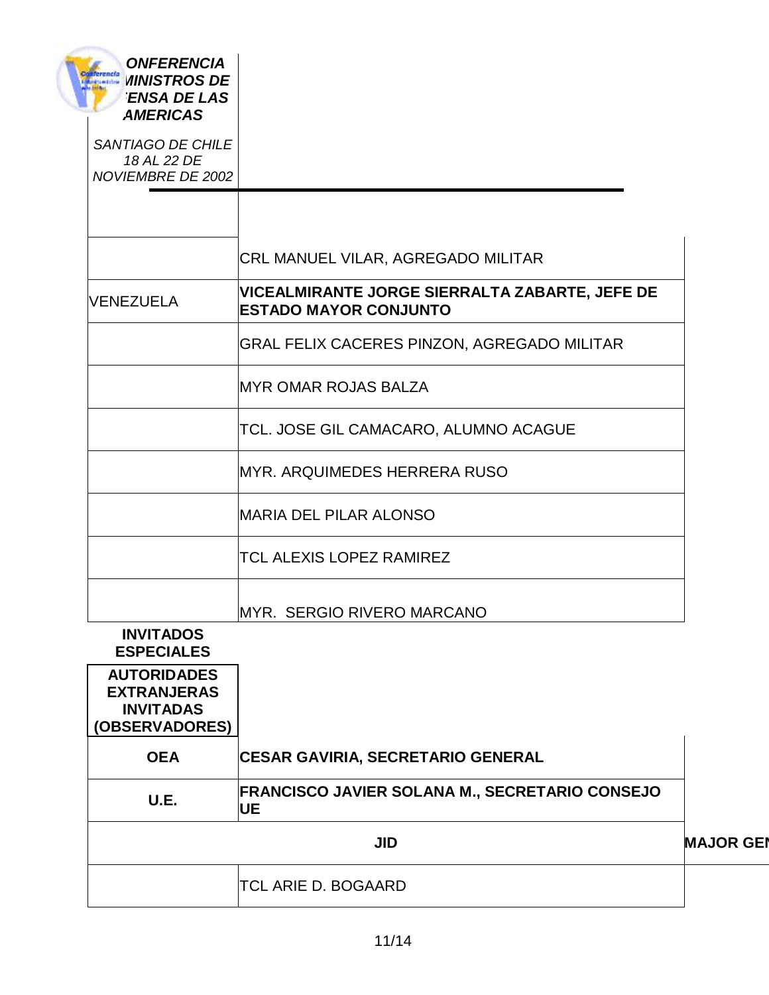| <b>ONFERENCIA</b><br>Conferencia<br>Listensiens<br><b><i>MINISTROS DE</i></b><br><b>ENSA DE LAS</b><br><b>AMERICAS</b> |                                                                                       |                  |
|------------------------------------------------------------------------------------------------------------------------|---------------------------------------------------------------------------------------|------------------|
| SANTIAGO DE CHILE<br>18 AL 22 DE<br>NOVIEMBRE DE 2002                                                                  |                                                                                       |                  |
|                                                                                                                        |                                                                                       |                  |
|                                                                                                                        | CRL MANUEL VILAR, AGREGADO MILITAR                                                    |                  |
| <b>VENEZUELA</b>                                                                                                       | <b>VICEALMIRANTE JORGE SIERRALTA ZABARTE, JEFE DE</b><br><b>ESTADO MAYOR CONJUNTO</b> |                  |
|                                                                                                                        | GRAL FELIX CACERES PINZON, AGREGADO MILITAR                                           |                  |
|                                                                                                                        | <b>MYR OMAR ROJAS BALZA</b>                                                           |                  |
|                                                                                                                        | TCL. JOSE GIL CAMACARO, ALUMNO ACAGUE                                                 |                  |
|                                                                                                                        | <b>MYR. ARQUIMEDES HERRERA RUSO</b>                                                   |                  |
|                                                                                                                        | <b>MARIA DEL PILAR ALONSO</b>                                                         |                  |
|                                                                                                                        | <b>TCL ALEXIS LOPEZ RAMIREZ</b>                                                       |                  |
|                                                                                                                        | MYR. SERGIO RIVERO MARCANO                                                            |                  |
| <b>INVITADOS</b><br><b>ESPECIALES</b>                                                                                  |                                                                                       |                  |
| <b>AUTORIDADES</b><br><b>EXTRANJERAS</b><br><b>INVITADAS</b><br>(OBSERVADORES)                                         |                                                                                       |                  |
| <b>OEA</b>                                                                                                             | <b>CESAR GAVIRIA, SECRETARIO GENERAL</b>                                              |                  |
| U.E.                                                                                                                   | <b>FRANCISCO JAVIER SOLANA M., SECRETARIO CONSEJO</b><br>UE                           |                  |
|                                                                                                                        | <b>JID</b>                                                                            | <b>MAJOR GEI</b> |
|                                                                                                                        | <b>TCL ARIE D. BOGAARD</b>                                                            |                  |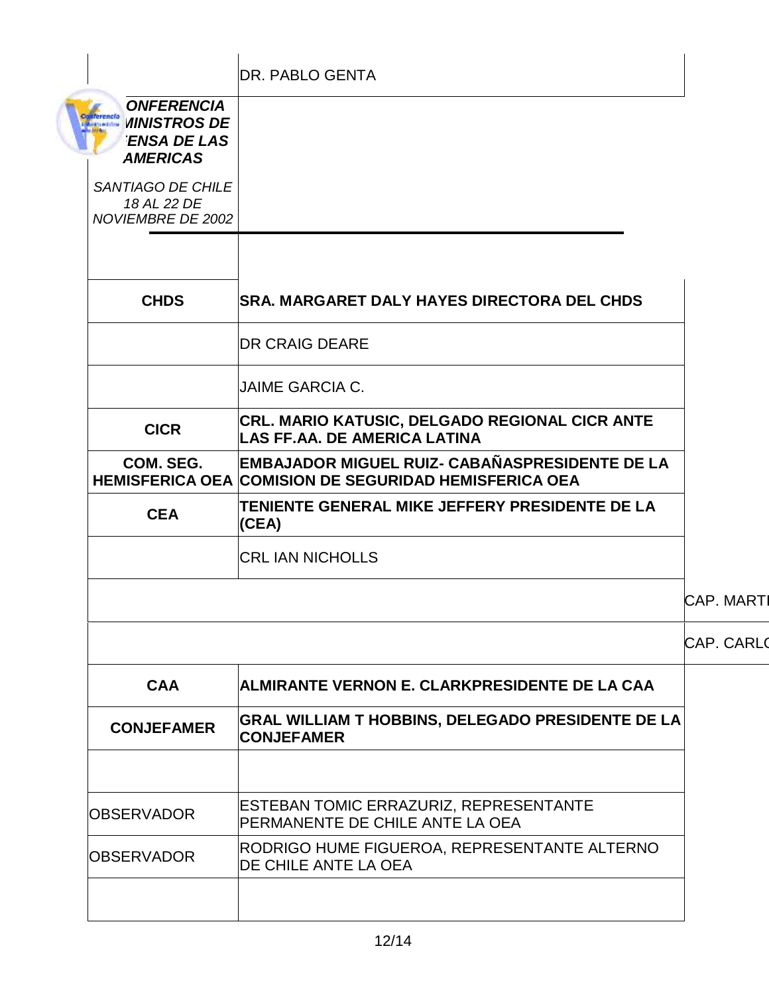|                                                                                              | <b>DR. PABLO GENTA</b>                                                                                                |                   |
|----------------------------------------------------------------------------------------------|-----------------------------------------------------------------------------------------------------------------------|-------------------|
| <b>ONFERENCIA</b><br>erencía<br><b>MINISTROS DE</b><br><b>ENSA DE LAS</b><br><b>AMERICAS</b> |                                                                                                                       |                   |
| SANTIAGO DE CHILE<br>18 AL 22 DE<br><b>NOVIEMBRE DE 2002</b>                                 |                                                                                                                       |                   |
| <b>CHDS</b>                                                                                  | <b>SRA. MARGARET DALY HAYES DIRECTORA DEL CHDS</b>                                                                    |                   |
|                                                                                              | <b>DR CRAIG DEARE</b>                                                                                                 |                   |
|                                                                                              | <b>JAIME GARCIA C.</b>                                                                                                |                   |
| <b>CICR</b>                                                                                  | CRL. MARIO KATUSIC, DELGADO REGIONAL CICR ANTE<br><b>LAS FF.AA. DE AMERICA LATINA</b>                                 |                   |
| COM. SEG.                                                                                    | <b>EMBAJADOR MIGUEL RUIZ- CABAÑASPRESIDENTE DE LA</b><br><b>HEMISFERICA OEA COMISION DE SEGURIDAD HEMISFERICA OEA</b> |                   |
| <b>CEA</b>                                                                                   | TENIENTE GENERAL MIKE JEFFERY PRESIDENTE DE LA<br>(CEA)                                                               |                   |
|                                                                                              | <b>CRL IAN NICHOLLS</b>                                                                                               |                   |
|                                                                                              |                                                                                                                       | <b>CAP. MARTI</b> |
|                                                                                              |                                                                                                                       | <b>CAP. CARLO</b> |
| <b>CAA</b>                                                                                   | ALMIRANTE VERNON E. CLARKPRESIDENTE DE LA CAA                                                                         |                   |
| <b>CONJEFAMER</b>                                                                            | GRAL WILLIAM T HOBBINS, DELEGADO PRESIDENTE DE LA<br><b>CONJEFAMER</b>                                                |                   |
| <b>OBSERVADOR</b>                                                                            | ESTEBAN TOMIC ERRAZURIZ, REPRESENTANTE<br>PERMANENTE DE CHILE ANTE LA OEA                                             |                   |
| <b>OBSERVADOR</b>                                                                            | RODRIGO HUME FIGUEROA, REPRESENTANTE ALTERNO<br>DE CHILE ANTE LA OEA                                                  |                   |
|                                                                                              |                                                                                                                       |                   |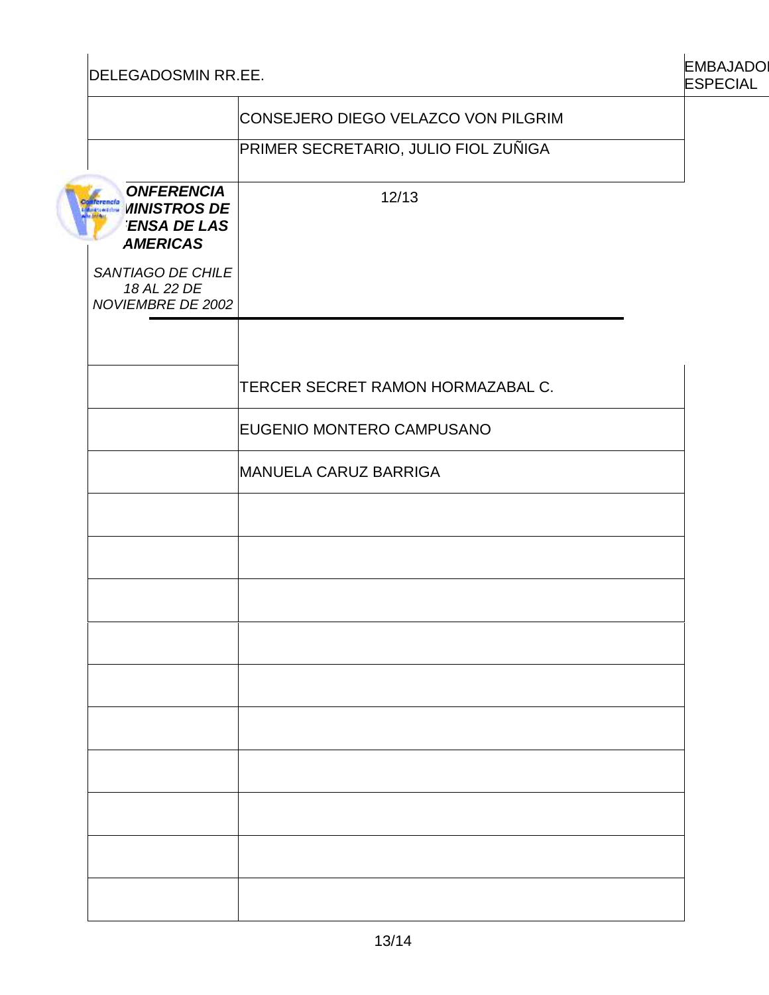DELEGADOSMIN RR.EE.

| <b>EMBAJADO</b> |
|-----------------|
| <b>ESPECIAL</b> |

|                                                                                                                                    | CONSEJERO DIEGO VELAZCO VON PILGRIM  |
|------------------------------------------------------------------------------------------------------------------------------------|--------------------------------------|
|                                                                                                                                    | PRIMER SECRETARIO, JULIO FIOL ZUÑIGA |
| <b>ONFERENCIA</b><br><b>terencía</b><br><b><i>MINISTROS DE</i></b><br><b>I de Dolbrid</b><br><b>ENSA DE LAS</b><br><b>AMERICAS</b> | 12/13                                |
| SANTIAGO DE CHILE<br>18 AL 22 DE<br>NOVIEMBRE DE 2002                                                                              |                                      |
|                                                                                                                                    | TERCER SECRET RAMON HORMAZABAL C.    |
|                                                                                                                                    | EUGENIO MONTERO CAMPUSANO            |
|                                                                                                                                    | <b>MANUELA CARUZ BARRIGA</b>         |
|                                                                                                                                    |                                      |
|                                                                                                                                    |                                      |
|                                                                                                                                    |                                      |
|                                                                                                                                    |                                      |
|                                                                                                                                    |                                      |
|                                                                                                                                    |                                      |
|                                                                                                                                    |                                      |
|                                                                                                                                    |                                      |